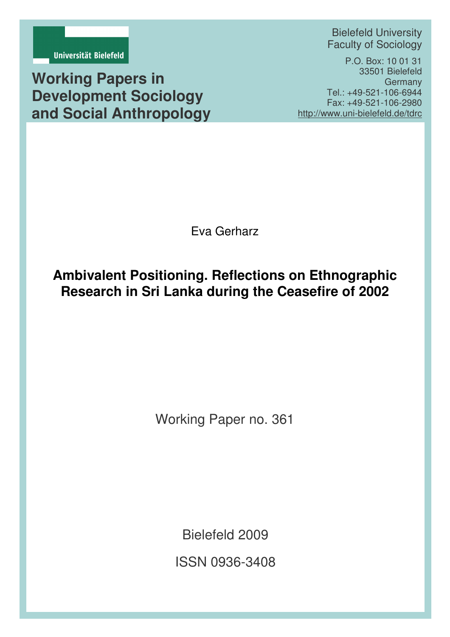

**Working Papers in Development Sociology and Social Anthropology**

Bielefeld University Faculty of Sociology

P.O. Box: 10 01 31 33501 Bielefeld Germany Tel.: +49-521-106-6944 Fax: +49-521-106-2980 http://www.uni-bielefeld.de/tdrc

Eva Gerharz

# **Ambivalent Positioning. Reflections on Ethnographic Research in Sri Lanka during the Ceasefire of 2002**

Working Paper no. 361

Bielefeld 2009

ISSN 0936-3408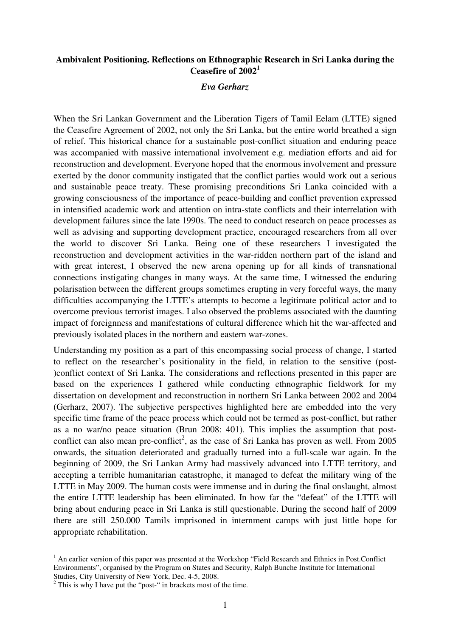# **Ambivalent Positioning. Reflections on Ethnographic Research in Sri Lanka during the Ceasefire of 2002<sup>1</sup>**

### *Eva Gerharz*

When the Sri Lankan Government and the Liberation Tigers of Tamil Eelam (LTTE) signed the Ceasefire Agreement of 2002, not only the Sri Lanka, but the entire world breathed a sign of relief. This historical chance for a sustainable post-conflict situation and enduring peace was accompanied with massive international involvement e.g. mediation efforts and aid for reconstruction and development. Everyone hoped that the enormous involvement and pressure exerted by the donor community instigated that the conflict parties would work out a serious and sustainable peace treaty. These promising preconditions Sri Lanka coincided with a growing consciousness of the importance of peace-building and conflict prevention expressed in intensified academic work and attention on intra-state conflicts and their interrelation with development failures since the late 1990s. The need to conduct research on peace processes as well as advising and supporting development practice, encouraged researchers from all over the world to discover Sri Lanka. Being one of these researchers I investigated the reconstruction and development activities in the war-ridden northern part of the island and with great interest, I observed the new arena opening up for all kinds of transnational connections instigating changes in many ways. At the same time, I witnessed the enduring polarisation between the different groups sometimes erupting in very forceful ways, the many difficulties accompanying the LTTE's attempts to become a legitimate political actor and to overcome previous terrorist images. I also observed the problems associated with the daunting impact of foreignness and manifestations of cultural difference which hit the war-affected and previously isolated places in the northern and eastern war-zones.

Understanding my position as a part of this encompassing social process of change, I started to reflect on the researcher's positionality in the field, in relation to the sensitive (post- )conflict context of Sri Lanka. The considerations and reflections presented in this paper are based on the experiences I gathered while conducting ethnographic fieldwork for my dissertation on development and reconstruction in northern Sri Lanka between 2002 and 2004 (Gerharz, 2007). The subjective perspectives highlighted here are embedded into the very specific time frame of the peace process which could not be termed as post-conflict, but rather as a no war/no peace situation (Brun 2008: 401). This implies the assumption that postconflict can also mean pre-conflict<sup>2</sup>, as the case of Sri Lanka has proven as well. From 2005 onwards, the situation deteriorated and gradually turned into a full-scale war again. In the beginning of 2009, the Sri Lankan Army had massively advanced into LTTE territory, and accepting a terrible humanitarian catastrophe, it managed to defeat the military wing of the LTTE in May 2009. The human costs were immense and in during the final onslaught, almost the entire LTTE leadership has been eliminated. In how far the "defeat" of the LTTE will bring about enduring peace in Sri Lanka is still questionable. During the second half of 2009 there are still 250.000 Tamils imprisoned in internment camps with just little hope for appropriate rehabilitation.

 $\overline{a}$ 

<sup>&</sup>lt;sup>1</sup> An earlier version of this paper was presented at the Workshop "Field Research and Ethnics in Post.Conflict Environments", organised by the Program on States and Security, Ralph Bunche Institute for International Studies, City University of New York, Dec. 4-5, 2008.

 $2$  This is why I have put the "post-" in brackets most of the time.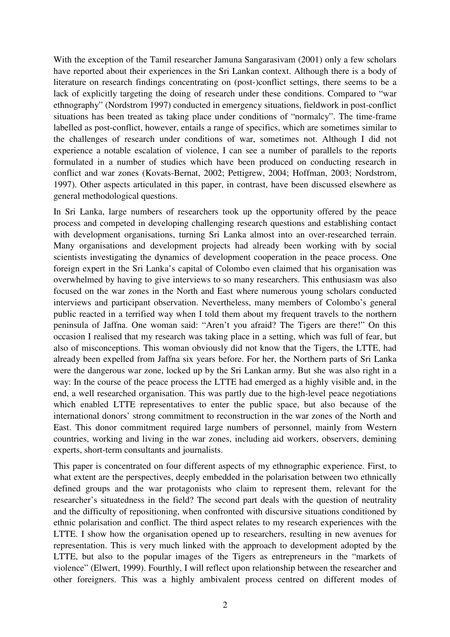With the exception of the Tamil researcher Jamuna Sangarasivam (2001) only a few scholars have reported about their experiences in the Sri Lankan context. Although there is a body of literature on research findings concentrating on (post-)conflict settings, there seems to be a lack of explicitly targeting the doing of research under these conditions. Compared to "war ethnography" (Nordstrom 1997) conducted in emergency situations, fieldwork in post-conflict situations has been treated as taking place under conditions of "normalcy". The time-frame labelled as post-conflict, however, entails a range of specifics, which are sometimes similar to the challenges of research under conditions of war, sometimes not. Although I did not experience a notable escalation of violence, I can see a number of parallels to the reports formulated in a number of studies which have been produced on conducting research in conflict and war zones (Kovats-Bernat, 2002; Pettigrew, 2004; Hoffman, 2003; Nordstrom, 1997). Other aspects articulated in this paper, in contrast, have been discussed elsewhere as general methodological questions.

In Sri Lanka, large numbers of researchers took up the opportunity offered by the peace process and competed in developing challenging research questions and establishing contact with development organisations, turning Sri Lanka almost into an over-researched terrain. Many organisations and development projects had already been working with by social scientists investigating the dynamics of development cooperation in the peace process. One foreign expert in the Sri Lanka's capital of Colombo even claimed that his organisation was overwhelmed by having to give interviews to so many researchers. This enthusiasm was also focused on the war zones in the North and East where numerous young scholars conducted interviews and participant observation. Nevertheless, many members of Colombo's general public reacted in a terrified way when I told them about my frequent travels to the northern peninsula of Jaffna. One woman said: "Aren't you afraid? The Tigers are there!" On this occasion I realised that my research was taking place in a setting, which was full of fear, but also of misconceptions. This woman obviously did not know that the Tigers, the LTTE, had already been expelled from Jaffna six years before. For her, the Northern parts of Sri Lanka were the dangerous war zone, locked up by the Sri Lankan army. But she was also right in a way: In the course of the peace process the LTTE had emerged as a highly visible and, in the end, a well researched organisation. This was partly due to the high-level peace negotiations which enabled LTTE representatives to enter the public space, but also because of the international donors' strong commitment to reconstruction in the war zones of the North and East. This donor commitment required large numbers of personnel, mainly from Western countries, working and living in the war zones, including aid workers, observers, demining experts, short-term consultants and journalists.

This paper is concentrated on four different aspects of my ethnographic experience. First, to what extent are the perspectives, deeply embedded in the polarisation between two ethnically defined groups and the war protagonists who claim to represent them, relevant for the researcher's situatedness in the field? The second part deals with the question of neutrality and the difficulty of repositioning, when confronted with discursive situations conditioned by ethnic polarisation and conflict. The third aspect relates to my research experiences with the LTTE. I show how the organisation opened up to researchers, resulting in new avenues for representation. This is very much linked with the approach to development adopted by the LTTE, but also to the popular images of the Tigers as entrepreneurs in the "markets of violence" (Elwert, 1999). Fourthly, I will reflect upon relationship between the researcher and other foreigners. This was a highly ambivalent process centred on different modes of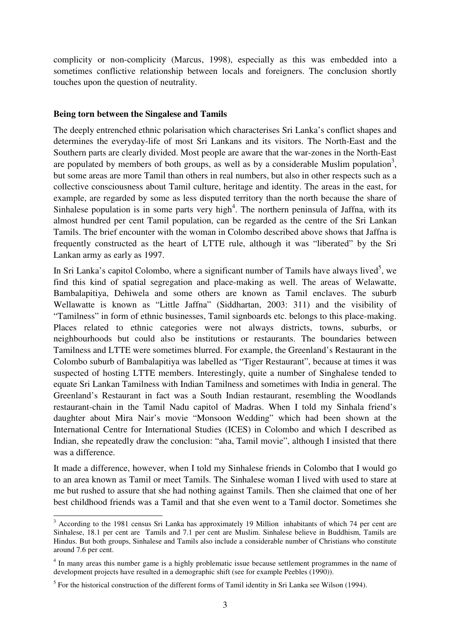complicity or non-complicity (Marcus, 1998), especially as this was embedded into a sometimes conflictive relationship between locals and foreigners. The conclusion shortly touches upon the question of neutrality.

# **Being torn between the Singalese and Tamils**

The deeply entrenched ethnic polarisation which characterises Sri Lanka's conflict shapes and determines the everyday-life of most Sri Lankans and its visitors. The North-East and the Southern parts are clearly divided. Most people are aware that the war-zones in the North-East are populated by members of both groups, as well as by a considerable Muslim population<sup>3</sup>, but some areas are more Tamil than others in real numbers, but also in other respects such as a collective consciousness about Tamil culture, heritage and identity. The areas in the east, for example, are regarded by some as less disputed territory than the north because the share of Sinhalese population is in some parts very high<sup>4</sup>. The northern peninsula of Jaffna, with its almost hundred per cent Tamil population, can be regarded as the centre of the Sri Lankan Tamils. The brief encounter with the woman in Colombo described above shows that Jaffna is frequently constructed as the heart of LTTE rule, although it was "liberated" by the Sri Lankan army as early as 1997.

In Sri Lanka's capitol Colombo, where a significant number of Tamils have always lived<sup>5</sup>, we find this kind of spatial segregation and place-making as well. The areas of Welawatte, Bambalapitiya, Dehiwela and some others are known as Tamil enclaves. The suburb Wellawatte is known as "Little Jaffna" (Siddhartan, 2003: 311) and the visibility of "Tamilness" in form of ethnic businesses, Tamil signboards etc. belongs to this place-making. Places related to ethnic categories were not always districts, towns, suburbs, or neighbourhoods but could also be institutions or restaurants. The boundaries between Tamilness and LTTE were sometimes blurred. For example, the Greenland's Restaurant in the Colombo suburb of Bambalapitiya was labelled as "Tiger Restaurant", because at times it was suspected of hosting LTTE members. Interestingly, quite a number of Singhalese tended to equate Sri Lankan Tamilness with Indian Tamilness and sometimes with India in general. The Greenland's Restaurant in fact was a South Indian restaurant, resembling the Woodlands restaurant-chain in the Tamil Nadu capitol of Madras. When I told my Sinhala friend's daughter about Mira Nair's movie "Monsoon Wedding" which had been shown at the International Centre for International Studies (ICES) in Colombo and which I described as Indian, she repeatedly draw the conclusion: "aha, Tamil movie", although I insisted that there was a difference.

It made a difference, however, when I told my Sinhalese friends in Colombo that I would go to an area known as Tamil or meet Tamils. The Sinhalese woman I lived with used to stare at me but rushed to assure that she had nothing against Tamils. Then she claimed that one of her best childhood friends was a Tamil and that she even went to a Tamil doctor. Sometimes she

<sup>&</sup>lt;sup>3</sup> According to the 1981 census Sri Lanka has approximately 19 Million inhabitants of which 74 per cent are Sinhalese, 18.1 per cent are Tamils and 7.1 per cent are Muslim. Sinhalese believe in Buddhism, Tamils are Hindus. But both groups, Sinhalese and Tamils also include a considerable number of Christians who constitute around 7.6 per cent.

<sup>&</sup>lt;sup>4</sup> In many areas this number game is a highly problematic issue because settlement programmes in the name of development projects have resulted in a demographic shift (see for example Peebles (1990)).

 $<sup>5</sup>$  For the historical construction of the different forms of Tamil identity in Sri Lanka see Wilson (1994).</sup>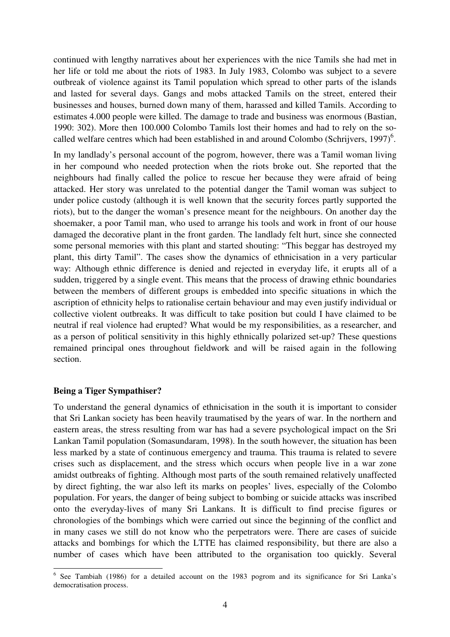continued with lengthy narratives about her experiences with the nice Tamils she had met in her life or told me about the riots of 1983. In July 1983, Colombo was subject to a severe outbreak of violence against its Tamil population which spread to other parts of the islands and lasted for several days. Gangs and mobs attacked Tamils on the street, entered their businesses and houses, burned down many of them, harassed and killed Tamils. According to estimates 4.000 people were killed. The damage to trade and business was enormous (Bastian, 1990: 302). More then 100.000 Colombo Tamils lost their homes and had to rely on the socalled welfare centres which had been established in and around Colombo (Schrijvers, 1997)<sup>6</sup>.

In my landlady's personal account of the pogrom, however, there was a Tamil woman living in her compound who needed protection when the riots broke out. She reported that the neighbours had finally called the police to rescue her because they were afraid of being attacked. Her story was unrelated to the potential danger the Tamil woman was subject to under police custody (although it is well known that the security forces partly supported the riots), but to the danger the woman's presence meant for the neighbours. On another day the shoemaker, a poor Tamil man, who used to arrange his tools and work in front of our house damaged the decorative plant in the front garden. The landlady felt hurt, since she connected some personal memories with this plant and started shouting: "This beggar has destroyed my plant, this dirty Tamil". The cases show the dynamics of ethnicisation in a very particular way: Although ethnic difference is denied and rejected in everyday life, it erupts all of a sudden, triggered by a single event. This means that the process of drawing ethnic boundaries between the members of different groups is embedded into specific situations in which the ascription of ethnicity helps to rationalise certain behaviour and may even justify individual or collective violent outbreaks. It was difficult to take position but could I have claimed to be neutral if real violence had erupted? What would be my responsibilities, as a researcher, and as a person of political sensitivity in this highly ethnically polarized set-up? These questions remained principal ones throughout fieldwork and will be raised again in the following section.

## **Being a Tiger Sympathiser?**

-

To understand the general dynamics of ethnicisation in the south it is important to consider that Sri Lankan society has been heavily traumatised by the years of war. In the northern and eastern areas, the stress resulting from war has had a severe psychological impact on the Sri Lankan Tamil population (Somasundaram, 1998). In the south however, the situation has been less marked by a state of continuous emergency and trauma. This trauma is related to severe crises such as displacement, and the stress which occurs when people live in a war zone amidst outbreaks of fighting. Although most parts of the south remained relatively unaffected by direct fighting, the war also left its marks on peoples' lives, especially of the Colombo population. For years, the danger of being subject to bombing or suicide attacks was inscribed onto the everyday-lives of many Sri Lankans. It is difficult to find precise figures or chronologies of the bombings which were carried out since the beginning of the conflict and in many cases we still do not know who the perpetrators were. There are cases of suicide attacks and bombings for which the LTTE has claimed responsibility, but there are also a number of cases which have been attributed to the organisation too quickly. Several

<sup>&</sup>lt;sup>6</sup> See Tambiah (1986) for a detailed account on the 1983 pogrom and its significance for Sri Lanka's democratisation process.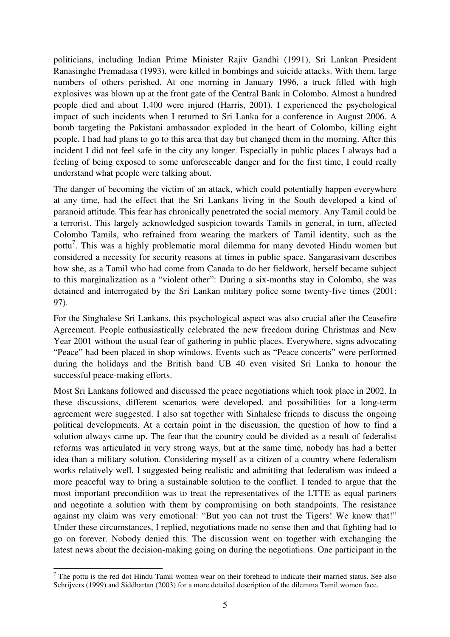politicians, including Indian Prime Minister Rajiv Gandhi (1991), Sri Lankan President Ranasinghe Premadasa (1993), were killed in bombings and suicide attacks. With them, large numbers of others perished. At one morning in January 1996, a truck filled with high explosives was blown up at the front gate of the Central Bank in Colombo. Almost a hundred people died and about 1,400 were injured (Harris, 2001). I experienced the psychological impact of such incidents when I returned to Sri Lanka for a conference in August 2006. A bomb targeting the Pakistani ambassador exploded in the heart of Colombo, killing eight people. I had had plans to go to this area that day but changed them in the morning. After this incident I did not feel safe in the city any longer. Especially in public places I always had a feeling of being exposed to some unforeseeable danger and for the first time, I could really understand what people were talking about.

The danger of becoming the victim of an attack, which could potentially happen everywhere at any time, had the effect that the Sri Lankans living in the South developed a kind of paranoid attitude. This fear has chronically penetrated the social memory. Any Tamil could be a terrorist. This largely acknowledged suspicion towards Tamils in general, in turn, affected Colombo Tamils, who refrained from wearing the markers of Tamil identity, such as the pottu<sup>7</sup>. This was a highly problematic moral dilemma for many devoted Hindu women but considered a necessity for security reasons at times in public space. Sangarasivam describes how she, as a Tamil who had come from Canada to do her fieldwork, herself became subject to this marginalization as a "violent other": During a six-months stay in Colombo, she was detained and interrogated by the Sri Lankan military police some twenty-five times (2001: 97).

For the Singhalese Sri Lankans, this psychological aspect was also crucial after the Ceasefire Agreement. People enthusiastically celebrated the new freedom during Christmas and New Year 2001 without the usual fear of gathering in public places. Everywhere, signs advocating "Peace" had been placed in shop windows. Events such as "Peace concerts" were performed during the holidays and the British band UB 40 even visited Sri Lanka to honour the successful peace-making efforts.

Most Sri Lankans followed and discussed the peace negotiations which took place in 2002. In these discussions, different scenarios were developed, and possibilities for a long-term agreement were suggested. I also sat together with Sinhalese friends to discuss the ongoing political developments. At a certain point in the discussion, the question of how to find a solution always came up. The fear that the country could be divided as a result of federalist reforms was articulated in very strong ways, but at the same time, nobody has had a better idea than a military solution. Considering myself as a citizen of a country where federalism works relatively well, I suggested being realistic and admitting that federalism was indeed a more peaceful way to bring a sustainable solution to the conflict. I tended to argue that the most important precondition was to treat the representatives of the LTTE as equal partners and negotiate a solution with them by compromising on both standpoints. The resistance against my claim was very emotional: "But you can not trust the Tigers! We know that!" Under these circumstances, I replied, negotiations made no sense then and that fighting had to go on forever. Nobody denied this. The discussion went on together with exchanging the latest news about the decision-making going on during the negotiations. One participant in the

-

 $<sup>7</sup>$  The pottu is the red dot Hindu Tamil women wear on their forehead to indicate their married status. See also</sup> Schrijvers (1999) and Siddhartan (2003) for a more detailed description of the dilemma Tamil women face.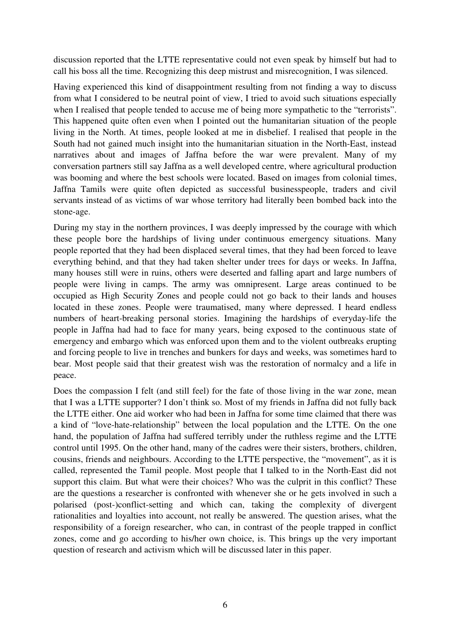discussion reported that the LTTE representative could not even speak by himself but had to call his boss all the time. Recognizing this deep mistrust and misrecognition, I was silenced.

Having experienced this kind of disappointment resulting from not finding a way to discuss from what I considered to be neutral point of view, I tried to avoid such situations especially when I realised that people tended to accuse me of being more sympathetic to the "terrorists". This happened quite often even when I pointed out the humanitarian situation of the people living in the North. At times, people looked at me in disbelief. I realised that people in the South had not gained much insight into the humanitarian situation in the North-East, instead narratives about and images of Jaffna before the war were prevalent. Many of my conversation partners still say Jaffna as a well developed centre, where agricultural production was booming and where the best schools were located. Based on images from colonial times, Jaffna Tamils were quite often depicted as successful businesspeople, traders and civil servants instead of as victims of war whose territory had literally been bombed back into the stone-age.

During my stay in the northern provinces, I was deeply impressed by the courage with which these people bore the hardships of living under continuous emergency situations. Many people reported that they had been displaced several times, that they had been forced to leave everything behind, and that they had taken shelter under trees for days or weeks. In Jaffna, many houses still were in ruins, others were deserted and falling apart and large numbers of people were living in camps. The army was omnipresent. Large areas continued to be occupied as High Security Zones and people could not go back to their lands and houses located in these zones. People were traumatised, many where depressed. I heard endless numbers of heart-breaking personal stories. Imagining the hardships of everyday-life the people in Jaffna had had to face for many years, being exposed to the continuous state of emergency and embargo which was enforced upon them and to the violent outbreaks erupting and forcing people to live in trenches and bunkers for days and weeks, was sometimes hard to bear. Most people said that their greatest wish was the restoration of normalcy and a life in peace.

Does the compassion I felt (and still feel) for the fate of those living in the war zone, mean that I was a LTTE supporter? I don't think so. Most of my friends in Jaffna did not fully back the LTTE either. One aid worker who had been in Jaffna for some time claimed that there was a kind of "love-hate-relationship" between the local population and the LTTE. On the one hand, the population of Jaffna had suffered terribly under the ruthless regime and the LTTE control until 1995. On the other hand, many of the cadres were their sisters, brothers, children, cousins, friends and neighbours. According to the LTTE perspective, the "movement", as it is called, represented the Tamil people. Most people that I talked to in the North-East did not support this claim. But what were their choices? Who was the culprit in this conflict? These are the questions a researcher is confronted with whenever she or he gets involved in such a polarised (post-)conflict-setting and which can, taking the complexity of divergent rationalities and loyalties into account, not really be answered. The question arises, what the responsibility of a foreign researcher, who can, in contrast of the people trapped in conflict zones, come and go according to his/her own choice, is. This brings up the very important question of research and activism which will be discussed later in this paper.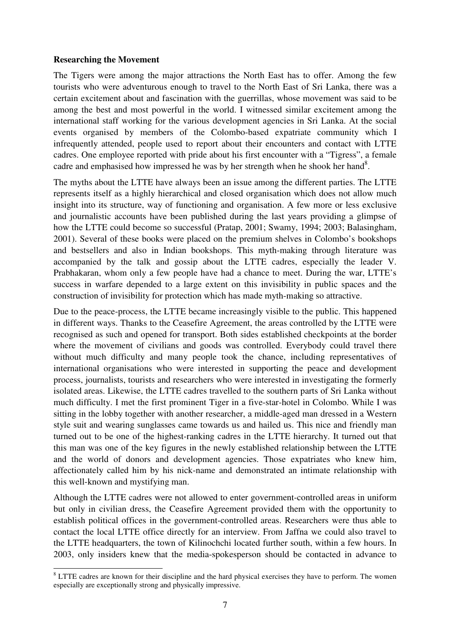## **Researching the Movement**

The Tigers were among the major attractions the North East has to offer. Among the few tourists who were adventurous enough to travel to the North East of Sri Lanka, there was a certain excitement about and fascination with the guerrillas, whose movement was said to be among the best and most powerful in the world. I witnessed similar excitement among the international staff working for the various development agencies in Sri Lanka. At the social events organised by members of the Colombo-based expatriate community which I infrequently attended, people used to report about their encounters and contact with LTTE cadres. One employee reported with pride about his first encounter with a "Tigress", a female cadre and emphasised how impressed he was by her strength when he shook her hand<sup>8</sup>.

The myths about the LTTE have always been an issue among the different parties. The LTTE represents itself as a highly hierarchical and closed organisation which does not allow much insight into its structure, way of functioning and organisation. A few more or less exclusive and journalistic accounts have been published during the last years providing a glimpse of how the LTTE could become so successful (Pratap, 2001; Swamy, 1994; 2003; Balasingham, 2001). Several of these books were placed on the premium shelves in Colombo's bookshops and bestsellers and also in Indian bookshops. This myth-making through literature was accompanied by the talk and gossip about the LTTE cadres, especially the leader V. Prabhakaran, whom only a few people have had a chance to meet. During the war, LTTE's success in warfare depended to a large extent on this invisibility in public spaces and the construction of invisibility for protection which has made myth-making so attractive.

Due to the peace-process, the LTTE became increasingly visible to the public. This happened in different ways. Thanks to the Ceasefire Agreement, the areas controlled by the LTTE were recognised as such and opened for transport. Both sides established checkpoints at the border where the movement of civilians and goods was controlled. Everybody could travel there without much difficulty and many people took the chance, including representatives of international organisations who were interested in supporting the peace and development process, journalists, tourists and researchers who were interested in investigating the formerly isolated areas. Likewise, the LTTE cadres travelled to the southern parts of Sri Lanka without much difficulty. I met the first prominent Tiger in a five-star-hotel in Colombo. While I was sitting in the lobby together with another researcher, a middle-aged man dressed in a Western style suit and wearing sunglasses came towards us and hailed us. This nice and friendly man turned out to be one of the highest-ranking cadres in the LTTE hierarchy. It turned out that this man was one of the key figures in the newly established relationship between the LTTE and the world of donors and development agencies. Those expatriates who knew him, affectionately called him by his nick-name and demonstrated an intimate relationship with this well-known and mystifying man.

Although the LTTE cadres were not allowed to enter government-controlled areas in uniform but only in civilian dress, the Ceasefire Agreement provided them with the opportunity to establish political offices in the government-controlled areas. Researchers were thus able to contact the local LTTE office directly for an interview. From Jaffna we could also travel to the LTTE headquarters, the town of Kilinochchi located further south, within a few hours. In 2003, only insiders knew that the media-spokesperson should be contacted in advance to

<sup>-</sup><sup>8</sup> LTTE cadres are known for their discipline and the hard physical exercises they have to perform. The women especially are exceptionally strong and physically impressive.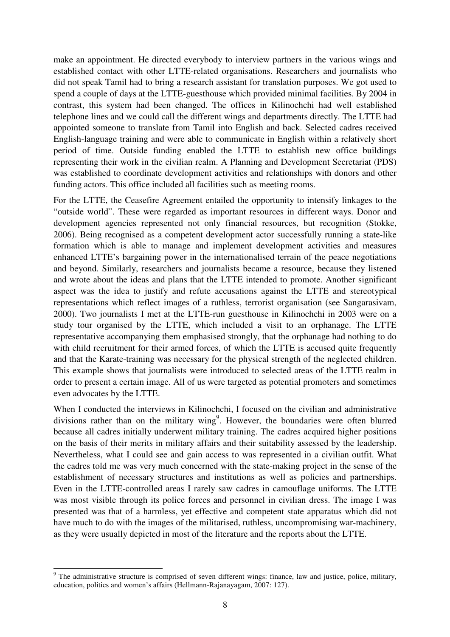make an appointment. He directed everybody to interview partners in the various wings and established contact with other LTTE-related organisations. Researchers and journalists who did not speak Tamil had to bring a research assistant for translation purposes. We got used to spend a couple of days at the LTTE-guesthouse which provided minimal facilities. By 2004 in contrast, this system had been changed. The offices in Kilinochchi had well established telephone lines and we could call the different wings and departments directly. The LTTE had appointed someone to translate from Tamil into English and back. Selected cadres received English-language training and were able to communicate in English within a relatively short period of time. Outside funding enabled the LTTE to establish new office buildings representing their work in the civilian realm. A Planning and Development Secretariat (PDS) was established to coordinate development activities and relationships with donors and other funding actors. This office included all facilities such as meeting rooms.

For the LTTE, the Ceasefire Agreement entailed the opportunity to intensify linkages to the "outside world". These were regarded as important resources in different ways. Donor and development agencies represented not only financial resources, but recognition (Stokke, 2006). Being recognised as a competent development actor successfully running a state-like formation which is able to manage and implement development activities and measures enhanced LTTE's bargaining power in the internationalised terrain of the peace negotiations and beyond. Similarly, researchers and journalists became a resource, because they listened and wrote about the ideas and plans that the LTTE intended to promote. Another significant aspect was the idea to justify and refute accusations against the LTTE and stereotypical representations which reflect images of a ruthless, terrorist organisation (see Sangarasivam, 2000). Two journalists I met at the LTTE-run guesthouse in Kilinochchi in 2003 were on a study tour organised by the LTTE, which included a visit to an orphanage. The LTTE representative accompanying them emphasised strongly, that the orphanage had nothing to do with child recruitment for their armed forces, of which the LTTE is accused quite frequently and that the Karate-training was necessary for the physical strength of the neglected children. This example shows that journalists were introduced to selected areas of the LTTE realm in order to present a certain image. All of us were targeted as potential promoters and sometimes even advocates by the LTTE.

When I conducted the interviews in Kilinochchi, I focused on the civilian and administrative divisions rather than on the military wing<sup>9</sup>. However, the boundaries were often blurred because all cadres initially underwent military training. The cadres acquired higher positions on the basis of their merits in military affairs and their suitability assessed by the leadership. Nevertheless, what I could see and gain access to was represented in a civilian outfit. What the cadres told me was very much concerned with the state-making project in the sense of the establishment of necessary structures and institutions as well as policies and partnerships. Even in the LTTE-controlled areas I rarely saw cadres in camouflage uniforms. The LTTE was most visible through its police forces and personnel in civilian dress. The image I was presented was that of a harmless, yet effective and competent state apparatus which did not have much to do with the images of the militarised, ruthless, uncompromising war-machinery, as they were usually depicted in most of the literature and the reports about the LTTE.

-

<sup>&</sup>lt;sup>9</sup> The administrative structure is comprised of seven different wings: finance, law and justice, police, military, education, politics and women's affairs (Hellmann-Rajanayagam, 2007: 127).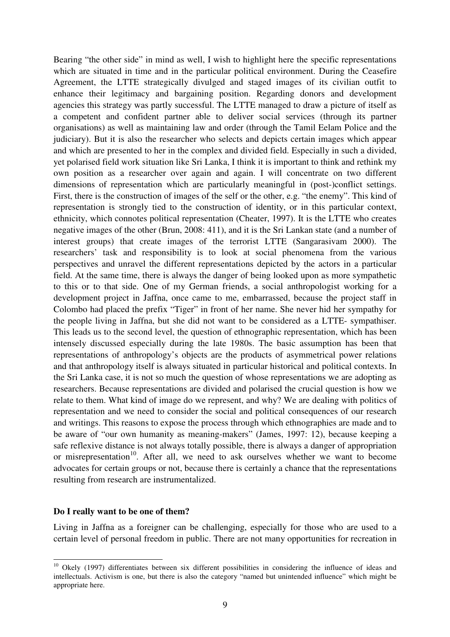Bearing "the other side" in mind as well, I wish to highlight here the specific representations which are situated in time and in the particular political environment. During the Ceasefire Agreement, the LTTE strategically divulged and staged images of its civilian outfit to enhance their legitimacy and bargaining position. Regarding donors and development agencies this strategy was partly successful. The LTTE managed to draw a picture of itself as a competent and confident partner able to deliver social services (through its partner organisations) as well as maintaining law and order (through the Tamil Eelam Police and the judiciary). But it is also the researcher who selects and depicts certain images which appear and which are presented to her in the complex and divided field. Especially in such a divided, yet polarised field work situation like Sri Lanka, I think it is important to think and rethink my own position as a researcher over again and again. I will concentrate on two different dimensions of representation which are particularly meaningful in (post-)conflict settings. First, there is the construction of images of the self or the other, e.g. "the enemy". This kind of representation is strongly tied to the construction of identity, or in this particular context, ethnicity, which connotes political representation (Cheater, 1997). It is the LTTE who creates negative images of the other (Brun, 2008: 411), and it is the Sri Lankan state (and a number of interest groups) that create images of the terrorist LTTE (Sangarasivam 2000). The researchers' task and responsibility is to look at social phenomena from the various perspectives and unravel the different representations depicted by the actors in a particular field. At the same time, there is always the danger of being looked upon as more sympathetic to this or to that side. One of my German friends, a social anthropologist working for a development project in Jaffna, once came to me, embarrassed, because the project staff in Colombo had placed the prefix "Tiger" in front of her name. She never hid her sympathy for the people living in Jaffna, but she did not want to be considered as a LTTE- sympathiser. This leads us to the second level, the question of ethnographic representation, which has been intensely discussed especially during the late 1980s. The basic assumption has been that representations of anthropology's objects are the products of asymmetrical power relations and that anthropology itself is always situated in particular historical and political contexts. In the Sri Lanka case, it is not so much the question of whose representations we are adopting as researchers. Because representations are divided and polarised the crucial question is how we relate to them. What kind of image do we represent, and why? We are dealing with politics of representation and we need to consider the social and political consequences of our research and writings. This reasons to expose the process through which ethnographies are made and to be aware of "our own humanity as meaning-makers" (James, 1997: 12), because keeping a safe reflexive distance is not always totally possible, there is always a danger of appropriation or misrepresentation<sup>10</sup>. After all, we need to ask ourselves whether we want to become advocates for certain groups or not, because there is certainly a chance that the representations resulting from research are instrumentalized.

#### **Do I really want to be one of them?**

j

Living in Jaffna as a foreigner can be challenging, especially for those who are used to a certain level of personal freedom in public. There are not many opportunities for recreation in

 $10$  Okely (1997) differentiates between six different possibilities in considering the influence of ideas and intellectuals. Activism is one, but there is also the category "named but unintended influence" which might be appropriate here.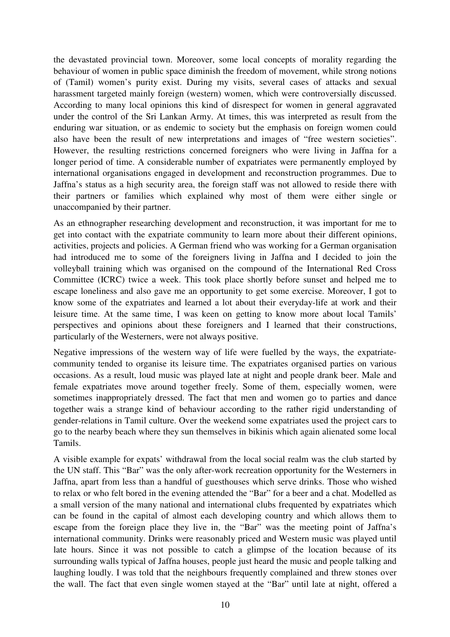the devastated provincial town. Moreover, some local concepts of morality regarding the behaviour of women in public space diminish the freedom of movement, while strong notions of (Tamil) women's purity exist. During my visits, several cases of attacks and sexual harassment targeted mainly foreign (western) women, which were controversially discussed. According to many local opinions this kind of disrespect for women in general aggravated under the control of the Sri Lankan Army. At times, this was interpreted as result from the enduring war situation, or as endemic to society but the emphasis on foreign women could also have been the result of new interpretations and images of "free western societies". However, the resulting restrictions concerned foreigners who were living in Jaffna for a longer period of time. A considerable number of expatriates were permanently employed by international organisations engaged in development and reconstruction programmes. Due to Jaffna's status as a high security area, the foreign staff was not allowed to reside there with their partners or families which explained why most of them were either single or unaccompanied by their partner.

As an ethnographer researching development and reconstruction, it was important for me to get into contact with the expatriate community to learn more about their different opinions, activities, projects and policies. A German friend who was working for a German organisation had introduced me to some of the foreigners living in Jaffna and I decided to join the volleyball training which was organised on the compound of the International Red Cross Committee (ICRC) twice a week. This took place shortly before sunset and helped me to escape loneliness and also gave me an opportunity to get some exercise. Moreover, I got to know some of the expatriates and learned a lot about their everyday-life at work and their leisure time. At the same time, I was keen on getting to know more about local Tamils' perspectives and opinions about these foreigners and I learned that their constructions, particularly of the Westerners, were not always positive.

Negative impressions of the western way of life were fuelled by the ways, the expatriatecommunity tended to organise its leisure time. The expatriates organised parties on various occasions. As a result, loud music was played late at night and people drank beer. Male and female expatriates move around together freely. Some of them, especially women, were sometimes inappropriately dressed. The fact that men and women go to parties and dance together wais a strange kind of behaviour according to the rather rigid understanding of gender-relations in Tamil culture. Over the weekend some expatriates used the project cars to go to the nearby beach where they sun themselves in bikinis which again alienated some local Tamils.

A visible example for expats' withdrawal from the local social realm was the club started by the UN staff. This "Bar" was the only after-work recreation opportunity for the Westerners in Jaffna, apart from less than a handful of guesthouses which serve drinks. Those who wished to relax or who felt bored in the evening attended the "Bar" for a beer and a chat. Modelled as a small version of the many national and international clubs frequented by expatriates which can be found in the capital of almost each developing country and which allows them to escape from the foreign place they live in, the "Bar" was the meeting point of Jaffna's international community. Drinks were reasonably priced and Western music was played until late hours. Since it was not possible to catch a glimpse of the location because of its surrounding walls typical of Jaffna houses, people just heard the music and people talking and laughing loudly. I was told that the neighbours frequently complained and threw stones over the wall. The fact that even single women stayed at the "Bar" until late at night, offered a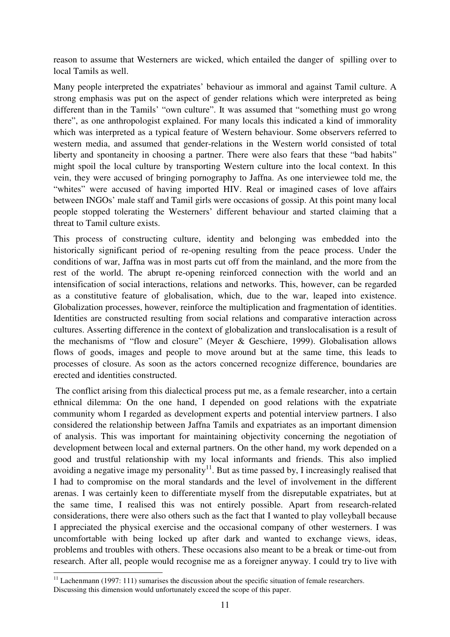reason to assume that Westerners are wicked, which entailed the danger of spilling over to local Tamils as well.

Many people interpreted the expatriates' behaviour as immoral and against Tamil culture. A strong emphasis was put on the aspect of gender relations which were interpreted as being different than in the Tamils' "own culture". It was assumed that "something must go wrong there", as one anthropologist explained. For many locals this indicated a kind of immorality which was interpreted as a typical feature of Western behaviour. Some observers referred to western media, and assumed that gender-relations in the Western world consisted of total liberty and spontaneity in choosing a partner. There were also fears that these "bad habits" might spoil the local culture by transporting Western culture into the local context. In this vein, they were accused of bringing pornography to Jaffna. As one interviewee told me, the "whites" were accused of having imported HIV. Real or imagined cases of love affairs between INGOs' male staff and Tamil girls were occasions of gossip. At this point many local people stopped tolerating the Westerners' different behaviour and started claiming that a threat to Tamil culture exists.

This process of constructing culture, identity and belonging was embedded into the historically significant period of re-opening resulting from the peace process. Under the conditions of war, Jaffna was in most parts cut off from the mainland, and the more from the rest of the world. The abrupt re-opening reinforced connection with the world and an intensification of social interactions, relations and networks. This, however, can be regarded as a constitutive feature of globalisation, which, due to the war, leaped into existence. Globalization processes, however, reinforce the multiplication and fragmentation of identities. Identities are constructed resulting from social relations and comparative interaction across cultures. Asserting difference in the context of globalization and translocalisation is a result of the mechanisms of "flow and closure" (Meyer & Geschiere, 1999). Globalisation allows flows of goods, images and people to move around but at the same time, this leads to processes of closure. As soon as the actors concerned recognize difference, boundaries are erected and identities constructed.

 The conflict arising from this dialectical process put me, as a female researcher, into a certain ethnical dilemma: On the one hand, I depended on good relations with the expatriate community whom I regarded as development experts and potential interview partners. I also considered the relationship between Jaffna Tamils and expatriates as an important dimension of analysis. This was important for maintaining objectivity concerning the negotiation of development between local and external partners. On the other hand, my work depended on a good and trustful relationship with my local informants and friends. This also implied avoiding a negative image my personality<sup>11</sup>. But as time passed by, I increasingly realised that I had to compromise on the moral standards and the level of involvement in the different arenas. I was certainly keen to differentiate myself from the disreputable expatriates, but at the same time, I realised this was not entirely possible. Apart from research-related considerations, there were also others such as the fact that I wanted to play volleyball because I appreciated the physical exercise and the occasional company of other westerners. I was uncomfortable with being locked up after dark and wanted to exchange views, ideas, problems and troubles with others. These occasions also meant to be a break or time-out from research. After all, people would recognise me as a foreigner anyway. I could try to live with

-

 $11$  Lachenmann (1997: 111) sumarises the discussion about the specific situation of female researchers. Discussing this dimension would unfortunately exceed the scope of this paper.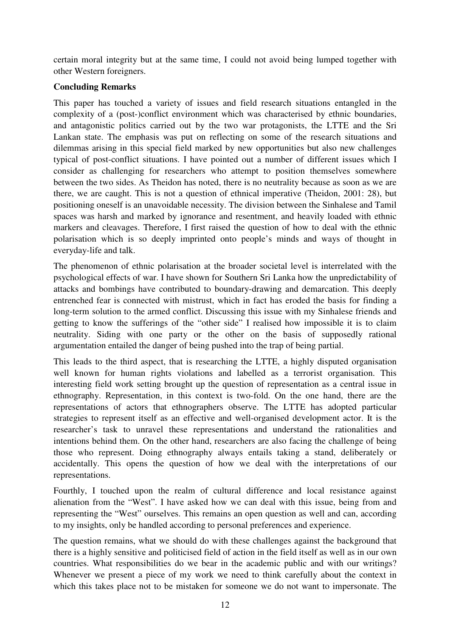certain moral integrity but at the same time, I could not avoid being lumped together with other Western foreigners.

# **Concluding Remarks**

This paper has touched a variety of issues and field research situations entangled in the complexity of a (post-)conflict environment which was characterised by ethnic boundaries, and antagonistic politics carried out by the two war protagonists, the LTTE and the Sri Lankan state. The emphasis was put on reflecting on some of the research situations and dilemmas arising in this special field marked by new opportunities but also new challenges typical of post-conflict situations. I have pointed out a number of different issues which I consider as challenging for researchers who attempt to position themselves somewhere between the two sides. As Theidon has noted, there is no neutrality because as soon as we are there, we are caught. This is not a question of ethnical imperative (Theidon, 2001: 28), but positioning oneself is an unavoidable necessity. The division between the Sinhalese and Tamil spaces was harsh and marked by ignorance and resentment, and heavily loaded with ethnic markers and cleavages. Therefore, I first raised the question of how to deal with the ethnic polarisation which is so deeply imprinted onto people's minds and ways of thought in everyday-life and talk.

The phenomenon of ethnic polarisation at the broader societal level is interrelated with the psychological effects of war. I have shown for Southern Sri Lanka how the unpredictability of attacks and bombings have contributed to boundary-drawing and demarcation. This deeply entrenched fear is connected with mistrust, which in fact has eroded the basis for finding a long-term solution to the armed conflict. Discussing this issue with my Sinhalese friends and getting to know the sufferings of the "other side" I realised how impossible it is to claim neutrality. Siding with one party or the other on the basis of supposedly rational argumentation entailed the danger of being pushed into the trap of being partial.

This leads to the third aspect, that is researching the LTTE, a highly disputed organisation well known for human rights violations and labelled as a terrorist organisation. This interesting field work setting brought up the question of representation as a central issue in ethnography. Representation, in this context is two-fold. On the one hand, there are the representations of actors that ethnographers observe. The LTTE has adopted particular strategies to represent itself as an effective and well-organised development actor. It is the researcher's task to unravel these representations and understand the rationalities and intentions behind them. On the other hand, researchers are also facing the challenge of being those who represent. Doing ethnography always entails taking a stand, deliberately or accidentally. This opens the question of how we deal with the interpretations of our representations.

Fourthly, I touched upon the realm of cultural difference and local resistance against alienation from the "West". I have asked how we can deal with this issue, being from and representing the "West" ourselves. This remains an open question as well and can, according to my insights, only be handled according to personal preferences and experience.

The question remains, what we should do with these challenges against the background that there is a highly sensitive and politicised field of action in the field itself as well as in our own countries. What responsibilities do we bear in the academic public and with our writings? Whenever we present a piece of my work we need to think carefully about the context in which this takes place not to be mistaken for someone we do not want to impersonate. The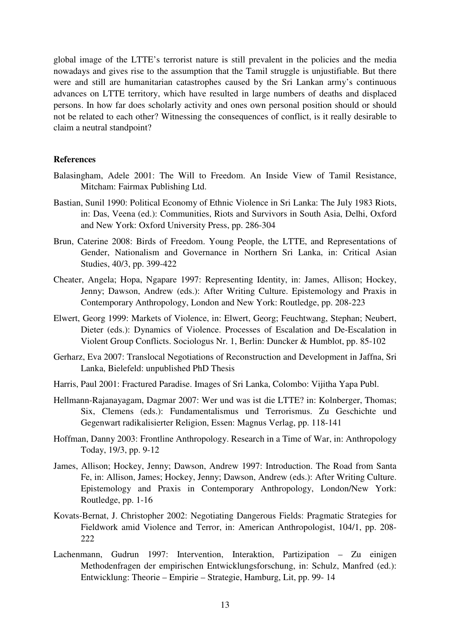global image of the LTTE's terrorist nature is still prevalent in the policies and the media nowadays and gives rise to the assumption that the Tamil struggle is unjustifiable. But there were and still are humanitarian catastrophes caused by the Sri Lankan army's continuous advances on LTTE territory, which have resulted in large numbers of deaths and displaced persons. In how far does scholarly activity and ones own personal position should or should not be related to each other? Witnessing the consequences of conflict, is it really desirable to claim a neutral standpoint?

#### **References**

- Balasingham, Adele 2001: The Will to Freedom. An Inside View of Tamil Resistance, Mitcham: Fairmax Publishing Ltd.
- Bastian, Sunil 1990: Political Economy of Ethnic Violence in Sri Lanka: The July 1983 Riots, in: Das, Veena (ed.): Communities, Riots and Survivors in South Asia, Delhi, Oxford and New York: Oxford University Press, pp. 286-304
- Brun, Caterine 2008: Birds of Freedom. Young People, the LTTE, and Representations of Gender, Nationalism and Governance in Northern Sri Lanka, in: Critical Asian Studies, 40/3, pp. 399-422
- Cheater, Angela; Hopa, Ngapare 1997: Representing Identity, in: James, Allison; Hockey, Jenny; Dawson, Andrew (eds.): After Writing Culture. Epistemology and Praxis in Contemporary Anthropology, London and New York: Routledge, pp. 208-223
- Elwert, Georg 1999: Markets of Violence, in: Elwert, Georg; Feuchtwang, Stephan; Neubert, Dieter (eds.): Dynamics of Violence. Processes of Escalation and De-Escalation in Violent Group Conflicts. Sociologus Nr. 1, Berlin: Duncker & Humblot, pp. 85-102
- Gerharz, Eva 2007: Translocal Negotiations of Reconstruction and Development in Jaffna, Sri Lanka, Bielefeld: unpublished PhD Thesis
- Harris, Paul 2001: Fractured Paradise. Images of Sri Lanka, Colombo: Vijitha Yapa Publ.
- Hellmann-Rajanayagam, Dagmar 2007: Wer und was ist die LTTE? in: Kolnberger, Thomas; Six, Clemens (eds.): Fundamentalismus und Terrorismus. Zu Geschichte und Gegenwart radikalisierter Religion, Essen: Magnus Verlag, pp. 118-141
- Hoffman, Danny 2003: Frontline Anthropology. Research in a Time of War, in: Anthropology Today, 19/3, pp. 9-12
- James, Allison; Hockey, Jenny; Dawson, Andrew 1997: Introduction. The Road from Santa Fe, in: Allison, James; Hockey, Jenny; Dawson, Andrew (eds.): After Writing Culture. Epistemology and Praxis in Contemporary Anthropology, London/New York: Routledge, pp. 1-16
- Kovats-Bernat, J. Christopher 2002: Negotiating Dangerous Fields: Pragmatic Strategies for Fieldwork amid Violence and Terror, in: American Anthropologist, 104/1, pp. 208- 222
- Lachenmann, Gudrun 1997: Intervention, Interaktion, Partizipation Zu einigen Methodenfragen der empirischen Entwicklungsforschung, in: Schulz, Manfred (ed.): Entwicklung: Theorie – Empirie – Strategie, Hamburg, Lit, pp. 99- 14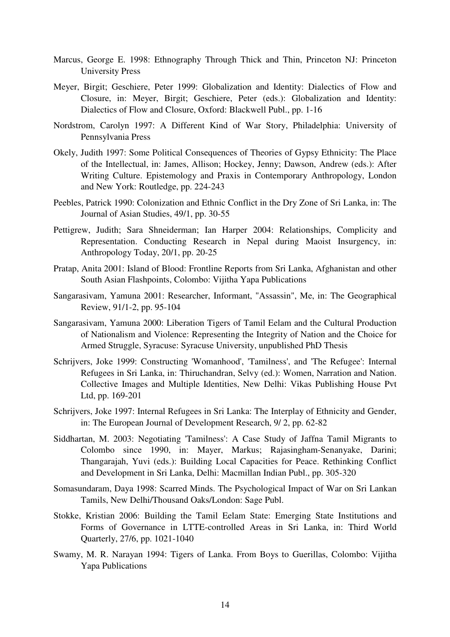- Marcus, George E. 1998: Ethnography Through Thick and Thin, Princeton NJ: Princeton University Press
- Meyer, Birgit; Geschiere, Peter 1999: Globalization and Identity: Dialectics of Flow and Closure, in: Meyer, Birgit; Geschiere, Peter (eds.): Globalization and Identity: Dialectics of Flow and Closure, Oxford: Blackwell Publ., pp. 1-16
- Nordstrom, Carolyn 1997: A Different Kind of War Story, Philadelphia: University of Pennsylvania Press
- Okely, Judith 1997: Some Political Consequences of Theories of Gypsy Ethnicity: The Place of the Intellectual, in: James, Allison; Hockey, Jenny; Dawson, Andrew (eds.): After Writing Culture. Epistemology and Praxis in Contemporary Anthropology, London and New York: Routledge, pp. 224-243
- Peebles, Patrick 1990: Colonization and Ethnic Conflict in the Dry Zone of Sri Lanka, in: The Journal of Asian Studies, 49/1, pp. 30-55
- Pettigrew, Judith; Sara Shneiderman; Ian Harper 2004: Relationships, Complicity and Representation. Conducting Research in Nepal during Maoist Insurgency, in: Anthropology Today, 20/1, pp. 20-25
- Pratap, Anita 2001: Island of Blood: Frontline Reports from Sri Lanka, Afghanistan and other South Asian Flashpoints, Colombo: Vijitha Yapa Publications
- Sangarasivam, Yamuna 2001: Researcher, Informant, "Assassin", Me, in: The Geographical Review, 91/1-2, pp. 95-104
- Sangarasivam, Yamuna 2000: Liberation Tigers of Tamil Eelam and the Cultural Production of Nationalism and Violence: Representing the Integrity of Nation and the Choice for Armed Struggle, Syracuse: Syracuse University, unpublished PhD Thesis
- Schrijvers, Joke 1999: Constructing 'Womanhood', 'Tamilness', and 'The Refugee': Internal Refugees in Sri Lanka, in: Thiruchandran, Selvy (ed.): Women, Narration and Nation. Collective Images and Multiple Identities, New Delhi: Vikas Publishing House Pvt Ltd, pp. 169-201
- Schrijvers, Joke 1997: Internal Refugees in Sri Lanka: The Interplay of Ethnicity and Gender, in: The European Journal of Development Research, 9/ 2, pp. 62-82
- Siddhartan, M. 2003: Negotiating 'Tamilness': A Case Study of Jaffna Tamil Migrants to Colombo since 1990, in: Mayer, Markus; Rajasingham-Senanyake, Darini; Thangarajah, Yuvi (eds.): Building Local Capacities for Peace. Rethinking Conflict and Development in Sri Lanka, Delhi: Macmillan Indian Publ., pp. 305-320
- Somasundaram, Daya 1998: Scarred Minds. The Psychological Impact of War on Sri Lankan Tamils, New Delhi/Thousand Oaks/London: Sage Publ.
- Stokke, Kristian 2006: Building the Tamil Eelam State: Emerging State Institutions and Forms of Governance in LTTE-controlled Areas in Sri Lanka, in: Third World Quarterly, 27/6, pp. 1021-1040
- Swamy, M. R. Narayan 1994: Tigers of Lanka. From Boys to Guerillas, Colombo: Vijitha Yapa Publications